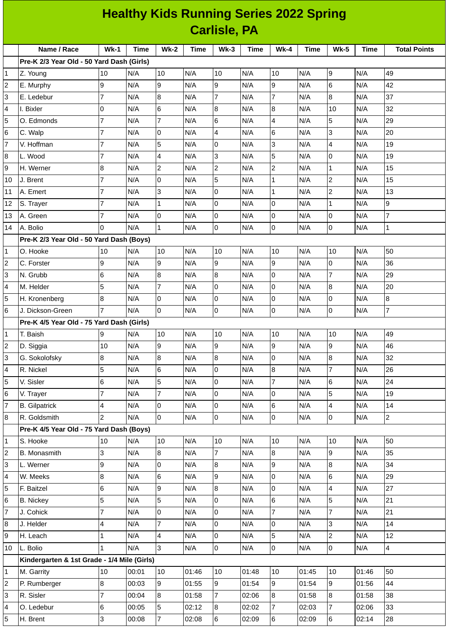| <b>Healthy Kids Running Series 2022 Spring</b> |                                             |                |       |                         |       |                         |             |                  |       |                         |       |                     |
|------------------------------------------------|---------------------------------------------|----------------|-------|-------------------------|-------|-------------------------|-------------|------------------|-------|-------------------------|-------|---------------------|
| <b>Carlisle, PA</b>                            |                                             |                |       |                         |       |                         |             |                  |       |                         |       |                     |
|                                                | Name / Race                                 | <b>Wk-1</b>    | Time  | $Wk-2$                  | Time  | <b>Wk-3</b>             | <b>Time</b> | <b>Wk-4</b>      | Time  | <b>Wk-5</b>             | Time  | <b>Total Points</b> |
|                                                | Pre-K 2/3 Year Old - 50 Yard Dash (Girls)   |                |       |                         |       |                         |             |                  |       |                         |       |                     |
| 1                                              | Z. Young                                    | 10             | N/A   | 10                      | N/A   | 10                      | N/A         | 10               | N/A   | 9                       | N/A   | 49                  |
| $\overline{c}$                                 | E. Murphy                                   | 9              | N/A   | 9                       | N/A   | 9                       | N/A         | $\overline{9}$   | N/A   | $6\phantom{.}6$         | N/A   | 42                  |
| 3                                              | E. Ledebur                                  | 7              | N/A   | 8                       | N/A   | $\overline{7}$          | N/A         | $\overline{7}$   | N/A   | 8                       | N/A   | 37                  |
| 4                                              | I. Bixler                                   | 0              | N/A   | $6\phantom{.}$          | N/A   | $\, 8$                  | N/A         | 8                | N/A   | 10                      | N/A   | 32                  |
| 5                                              | O. Edmonds                                  | $\overline{7}$ | N/A   | $\overline{7}$          | N/A   | $6\phantom{a}$          | N/A         | 4                | N/A   | 5                       | N/A   | 29                  |
| 6                                              | C. Walp                                     | $\overline{7}$ | N/A   | $\overline{0}$          | N/A   | $\overline{\mathbf{4}}$ | N/A         | 6                | N/A   | 3                       | N/A   | 20                  |
| $\overline{7}$                                 | V. Hoffman                                  | 7              | N/A   | 5                       | N/A   | 0                       | N/A         | 3                | N/A   | 4                       | N/A   | 19                  |
| 8                                              | L. Wood                                     | $\overline{7}$ | N/A   | $\overline{4}$          | N/A   | 3                       | N/A         | 5                | N/A   | $\overline{0}$          | N/A   | 19                  |
| 9                                              | H. Werner                                   | 8              | N/A   | $\overline{c}$          | N/A   | $\mathbf{2}$            | N/A         | $\overline{c}$   | N/A   | $\mathbf 1$             | N/A   | 15                  |
| 10                                             | J. Brent                                    | $\overline{7}$ | N/A   | 0                       | N/A   | 5                       | N/A         | $\mathbf{1}$     | N/A   | $\overline{c}$          | N/A   | 15                  |
| 11                                             | A. Emert                                    | 7              | N/A   | 3                       | N/A   | 0                       | N/A         | $\mathbf 1$      | N/A   | $\overline{c}$          | N/A   | 13                  |
| 12                                             | S. Trayer                                   | $\overline{7}$ | N/A   | $\mathbf{1}$            | N/A   | 0                       | N/A         | 0                | N/A   | $\mathbf{1}$            | N/A   | 9                   |
| 13                                             | A. Green                                    | $\overline{7}$ | N/A   | $\overline{0}$          | N/A   | $\mathsf 0$             | N/A         | 0                | N/A   | $\overline{0}$          | N/A   | $\overline{7}$      |
| 14                                             | A. Bolio                                    | $\Omega$       | N/A   | $\mathbf{1}$            | N/A   | 0                       | N/A         | 0                | N/A   | O                       | N/A   | $\mathbf{1}$        |
|                                                | Pre-K 2/3 Year Old - 50 Yard Dash (Boys)    |                |       |                         |       |                         |             |                  |       |                         |       |                     |
| 1                                              | O. Hooke                                    | 10             | N/A   | 10                      | N/A   | 10                      | N/A         | 10               | N/A   | 10                      | N/A   | 50                  |
| $\overline{c}$                                 | C. Forster                                  | 9              | N/A   | 9                       | N/A   | 9                       | N/A         | 9                | N/A   | 0                       | N/A   | 36                  |
| 3                                              | N. Grubb                                    | 6              | N/A   | 8                       | N/A   | 8                       | N/A         | 0                | N/A   | $\overline{7}$          | N/A   | 29                  |
| 4                                              | M. Helder                                   | 5              | N/A   | $\overline{7}$          | N/A   | 0                       | N/A         | 0                | N/A   | $\boldsymbol{8}$        | N/A   | 20                  |
| 5                                              | H. Kronenberg                               | 8              | N/A   | l0                      | N/A   | 0                       | N/A         | 0                | N/A   | 0                       | N/A   | 8                   |
| 6                                              | J. Dickson-Green                            | $\overline{7}$ | N/A   | $\overline{0}$          | N/A   | $\overline{0}$          | N/A         | 0                | N/A   | $\overline{0}$          | N/A   | $\overline{7}$      |
|                                                | Pre-K 4/5 Year Old - 75 Yard Dash (Girls)   |                |       |                         |       |                         |             |                  |       |                         |       |                     |
| 1                                              | T. Baish                                    | 9              | N/A   | 10                      | N/A   | 10                      | N/A         | 10               | N/A   | 10                      | N/A   | 49                  |
| 2                                              | D. Siggia                                   | 10             | N/A   | 9                       | N/A   | 9                       | N/A         | $\boldsymbol{9}$ | N/A   | 9                       | N/A   | 46                  |
| 3                                              | G. Sokolofsky                               | 8              | N/A   | 8                       | N/A   | $8\,$                   | N/A         | 0                | N/A   | $\bf{8}$                | N/A   | 32                  |
| 4                                              | R. Nickel                                   | 5              | N/A   | $6\phantom{.}$          | N/A   | $\overline{0}$          | N/A         | 8                | N/A   | $\overline{7}$          | N/A   | 26                  |
| 5                                              | V. Sisler                                   | 6              | N/A   | 5                       | N/A   | $\mathsf 0$             | N/A         | $\overline{7}$   | N/A   | 6                       | N/A   | 24                  |
| 6                                              | V. Trayer                                   | $\overline{7}$ | N/A   | $\overline{7}$          | N/A   | $\overline{0}$          | N/A         | 0                | N/A   | 5                       | N/A   | 19                  |
| $\overline{7}$                                 | <b>B.</b> Gilpatrick                        | 4              | N/A   | $\mathsf{O}$            | N/A   | $\overline{0}$          | N/A         | 6                | N/A   | $\overline{\mathbf{4}}$ | N/A   | 14                  |
| 8                                              | R. Goldsmith                                | $\overline{c}$ | N/A   | $\mathsf{O}$            | N/A   | $\overline{0}$          | N/A         | 0                | N/A   | $\overline{0}$          | N/A   | $\overline{2}$      |
|                                                | Pre-K 4/5 Year Old - 75 Yard Dash (Boys)    |                |       |                         |       |                         |             |                  |       |                         |       |                     |
| $\mathbf 1$                                    | S. Hooke                                    | 10             | N/A   | 10                      | N/A   | 10                      | N/A         | 10               | N/A   | 10                      | N/A   | 50                  |
| $\overline{c}$                                 | B. Monasmith                                | 3              | N/A   | 8                       | N/A   | $\overline{7}$          | N/A         | $8\,$            | N/A   | 9                       | N/A   | 35                  |
| 3                                              | L. Werner                                   | 9              | N/A   | $\mathsf 0$             | N/A   | $\bf{8}$                | N/A         | 9                | N/A   | $\, 8$                  | N/A   | 34                  |
| 4                                              | W. Meeks                                    | 8              | N/A   | $6\phantom{a}$          | N/A   | $\overline{9}$          | N/A         | 0                | N/A   | 6                       | N/A   | 29                  |
| 5                                              | F. Baitzel                                  | 6              | N/A   | $\boldsymbol{9}$        | N/A   | $\bf{8}$                | N/A         | 0                | N/A   | 4                       | N/A   | 27                  |
| 6                                              | <b>B.</b> Nickey                            | 5              | N/A   | 5                       | N/A   | $\overline{0}$          | N/A         | 6                | N/A   | 5                       | N/A   | 21                  |
| 7                                              | J. Cohick                                   | 7              | N/A   | $\mathsf{O}$            | N/A   | $\overline{0}$          | N/A         | $\overline{7}$   | N/A   | $\overline{7}$          | N/A   | 21                  |
| 8                                              | J. Helder                                   | 4              | N/A   | $\overline{7}$          | N/A   | $\overline{0}$          | N/A         | 0                | N/A   | 3                       | N/A   | 14                  |
| 9                                              | H. Leach                                    | $\mathbf 1$    | N/A   | $\overline{\mathbf{4}}$ | N/A   | 0                       | N/A         | 5                | N/A   | $\overline{c}$          | N/A   | 12                  |
| 10                                             | L. Bolio                                    | $\mathbf{1}$   | N/A   | $\overline{3}$          | N/A   | $\overline{0}$          | N/A         | 0                | N/A   | $\overline{0}$          | N/A   | $\overline{4}$      |
|                                                | Kindergarten & 1st Grade - 1/4 Mile (Girls) |                |       |                         |       |                         |             |                  |       |                         |       |                     |
| $\mathbf 1$                                    | M. Garrity                                  | 10             | 00:01 | 10                      | 01:46 | 10                      | 01:48       | $10\,$           | 01:45 | 10                      | 01:46 | 50                  |
| $\mathbf 2$                                    | P. Rumberger                                | 8              | 00:03 | 9                       | 01:55 | 9                       | 01:54       | $\overline{9}$   | 01:54 | $\overline{9}$          | 01:56 | 44                  |
| 3                                              | R. Sisler                                   | $\overline{7}$ | 00:04 | 8                       | 01:58 | $\overline{7}$          | 02:06       | 8                | 01:58 | $\, 8$                  | 01:58 | 38                  |
| 4                                              | O. Ledebur                                  | 6              | 00:05 | 5                       | 02:12 | $8\,$                   | 02:02       | $\overline{7}$   | 02:03 | $\overline{7}$          | 02:06 | 33                  |
| 5                                              | H. Brent                                    | 3              | 00:08 | $\overline{7}$          | 02:08 | $6\overline{6}$         | 02:09       | $6\phantom{a}$   | 02:09 | $\,6$                   | 02:14 | 28                  |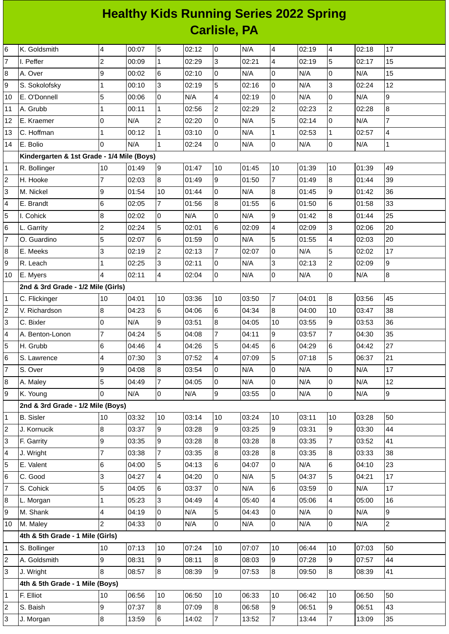## **Healthy Kids Running Series 2022 Spring Carlisle, PA**

| 6              | K. Goldsmith                               | 4               | 00:07 | 5              | 02:12 | 0              | N/A   | 4              | 02:19 | 4              | 02:18 | 17                       |
|----------------|--------------------------------------------|-----------------|-------|----------------|-------|----------------|-------|----------------|-------|----------------|-------|--------------------------|
| $\overline{7}$ | I. Peffer                                  | $\overline{c}$  | 00:09 | $\mathbf{1}$   | 02:29 | 3              | 02:21 | 4              | 02:19 | 5              | 02:17 | 15                       |
| 8              | A. Over                                    | 9               | 00:02 | 6              | 02:10 | 0              | N/A   | 0              | N/A   | 0              | N/A   | 15                       |
| 9              | S. Sokolofsky                              | $\mathbf{1}$    | 00:10 | 3              | 02:19 | 5              | 02:16 | 0              | N/A   | 3              | 02:24 | 12                       |
| 10             | E. O'Donnell                               | 5               | 00:06 | 0              | N/A   | 4              | 02:19 | $\overline{0}$ | N/A   | 0              | N/A   | 9                        |
| 11             | A. Grubb                                   | $\mathbf 1$     | 00:11 | $\mathbf 1$    | 02:56 | $\overline{c}$ | 02:29 | $\mathbf{2}$   | 02:23 | $\overline{c}$ | 02:28 | $\overline{8}$           |
| 12             | E. Kraemer                                 | $\overline{0}$  | N/A   | $\overline{c}$ | 02:20 | 0              | N/A   | 5              | 02:14 | 0              | N/A   | $\overline{7}$           |
| 13             | C. Hoffman                                 | $\mathbf{1}$    | 00:12 | $\mathbf 1$    | 03:10 | 0              | N/A   | $\mathbf{1}$   | 02:53 | $\mathbf 1$    | 02:57 | $\overline{\mathcal{L}}$ |
| 14             | E. Bolio                                   | $\overline{0}$  | N/A   | $\mathbf{1}$   | 02:24 | $\overline{0}$ | N/A   | $\overline{0}$ | N/A   | $\mathsf 0$    | N/A   | $\mathbf 1$              |
|                | Kindergarten & 1st Grade - 1/4 Mile (Boys) |                 |       |                |       |                |       |                |       |                |       |                          |
| $\mathbf{1}$   | R. Bollinger                               | 10              | 01:49 | 9              | 01:47 | 10             | 01:45 | 10             | 01:39 | 10             | 01:39 | 49                       |
| $\overline{c}$ | H. Hooke                                   | $\overline{7}$  | 02:03 | $\bf 8$        | 01:49 | 9              | 01:50 | $\overline{7}$ | 01:49 | 8              | 01:44 | 39                       |
| 3              | M. Nickel                                  | 9               | 01:54 | 10             | 01:44 | 0              | N/A   | 8              | 01:45 | 9              | 01:42 | 36                       |
| 4              | E. Brandt                                  | $\,$ 6          | 02:05 | $\overline{7}$ | 01:56 | 8              | 01:55 | $\,6$          | 01:50 | 6              | 01:58 | 33                       |
| 5              | I. Cohick                                  | $\bf{8}$        | 02:02 | 0              | N/A   | 0              | N/A   | 9              | 01:42 | 8              | 01:44 | 25                       |
| 6              | L. Garrity                                 | $\overline{c}$  | 02:24 | 5              | 02:01 | 6              | 02:09 | 4              | 02:09 | 3              | 02:06 | 20                       |
| $\overline{7}$ | O. Guardino                                | 5               | 02:07 | 6              | 01:59 | 0              | N/A   | 5              | 01:55 | 4              | 02:03 | 20                       |
| 8              | E. Meeks                                   | 3               | 02:19 | $\overline{c}$ | 02:13 | $\overline{7}$ | 02:07 | $\mathbf 0$    | N/A   | 5              | 02:02 | 17                       |
| 9              | R. Leach                                   | $\mathbf 1$     | 02:25 | 3              | 02:11 | 0              | N/A   | 3              | 02:13 | $\overline{2}$ | 02:09 | 9                        |
| 10             | E. Myers                                   | $\overline{4}$  | 02:11 | 4              | 02:04 | 0              | N/A   | 0              | N/A   | $\mathsf{O}$   | N/A   | $\bf{8}$                 |
|                | 2nd & 3rd Grade - 1/2 Mile (Girls)         |                 |       |                |       |                |       |                |       |                |       |                          |
| $\mathbf{1}$   | C. Flickinger                              | 10              | 04:01 | 10             | 03:36 | 10             | 03:50 | $\overline{7}$ | 04:01 | 8              | 03:56 | 45                       |
| $\overline{c}$ | V. Richardson                              | $\bf 8$         | 04:23 | 6              | 04:06 | 6              | 04:34 | 8              | 04:00 | 10             | 03:47 | 38                       |
| 3              | C. Bixler                                  | $\overline{0}$  | N/A   | 9              | 03:51 | 8              | 04:05 | 10             | 03:55 | 9              | 03:53 | 36                       |
| 4              | A. Benton-Lonon                            | $\overline{7}$  | 04:24 | 5              | 04:08 | $\overline{7}$ | 04:11 | 9              | 03:57 | $\overline{7}$ | 04:30 | 35                       |
| 5              | H. Grubb                                   | $6\phantom{.}6$ | 04:46 | 4              | 04:26 | 5              | 04:45 | $\,6$          | 04:29 | $6\phantom{1}$ | 04:42 | 27                       |
| 6              | S. Lawrence                                | 4               | 07:30 | 3              | 07:52 | 4              | 07:09 | 5              | 07:18 | 5              | 06:37 | 21                       |
| $\overline{7}$ | S. Over                                    | 9               | 04:08 | $\bf{8}$       | 03:54 | $\overline{0}$ | N/A   | 0              | N/A   | $\Omega$       | N/A   | 17                       |
| 8              | A. Maley                                   | 5               | 04:49 | $\overline{7}$ | 04:05 | 0              | N/A   | 0              | N/A   | 0              | N/A   | 12                       |
| 9              | K. Young                                   | O               | N/A   | $\overline{0}$ | N/A   | 9              | 03:55 | l0             | N/A   | $\mathsf 0$    | N/A   | 9                        |
|                | 2nd & 3rd Grade - 1/2 Mile (Boys)          |                 |       |                |       |                |       |                |       |                |       |                          |
| $\mathbf 1$    | <b>B.</b> Sisler                           | 10              | 03:32 | 10             | 03:14 | 10             | 03:24 | 10             | 03:11 | 10             | 03:28 | 50                       |
| $\overline{c}$ | J. Kornucik                                | 8               | 03:37 | 9              | 03:28 | 9              | 03:25 | 9              | 03:31 | 9              | 03:30 | 44                       |
| 3              | F. Garrity                                 | 9               | 03:35 | 9              | 03:28 | 8              | 03:28 | 8              | 03:35 | $\overline{7}$ | 03:52 | 41                       |
| 4              | J. Wright                                  | 7               | 03:38 | 7              | 03:35 | 8              | 03:28 | 8              | 03:35 | 8              | 03:33 | 38                       |
| 5              | E. Valent                                  | 6               | 04:00 | 5              | 04:13 | 6              | 04:07 | O              | N/A   | 6              | 04:10 | 23                       |
| 6              | C. Good                                    | 3               | 04:27 | 4              | 04:20 | 0              | N/A   | 5              | 04:37 | 5              | 04:21 | 17                       |
| $\overline{7}$ | S. Cohick                                  | 5               | 04:05 | 6              | 03:37 | 0              | N/A   | 6              | 03:59 | $\overline{0}$ | N/A   | 17                       |
| 8              | L. Morgan                                  | $\mathbf 1$     | 05:23 | 3              | 04:49 | 4              | 05:40 | 4              | 05:06 | 4              | 05:00 | 16                       |
| 9              | M. Shank                                   | $\overline{4}$  | 04:19 | 0              | N/A   | 5              | 04:43 | 0              | N/A   | $\overline{0}$ | N/A   | $\overline{9}$           |
| 10             | M. Maley                                   | $\overline{2}$  | 04:33 | 0              | N/A   | $\overline{0}$ | N/A   | $\overline{0}$ | N/A   | $\mathsf{O}$   | N/A   | $\overline{2}$           |
|                | 4th & 5th Grade - 1 Mile (Girls)           |                 |       |                |       |                |       |                |       |                |       |                          |
| $\mathbf{1}$   | S. Bollinger                               | 10              | 07:13 | 10             | 07:24 | 10             | 07:07 | 10             | 06:44 | 10             | 07:03 | 50                       |
| $\overline{c}$ | A. Goldsmith                               | 9               | 08:31 | 9              | 08:11 | 8              | 08:03 | $\overline{9}$ | 07:28 | 9              | 07:57 | 44                       |
| 3              | J. Wright                                  | 8               | 08:57 | 8              | 08:39 | $\overline{9}$ | 07:53 | 8              | 09:50 | 8              | 08:39 | 41                       |
|                | 4th & 5th Grade - 1 Mile (Boys)            |                 |       |                |       |                |       |                |       |                |       |                          |
| 1              | F. Elliot                                  | 10              | 06:56 | 10             | 06:50 | 10             | 06:33 | 10             | 06:42 | 10             | 06:50 | 50                       |
| $\overline{c}$ | S. Baish                                   | 9               | 07:37 | 8              | 07:09 | 8              | 06:58 | 9              | 06:51 | 9              | 06:51 | 43                       |
| 3              | J. Morgan                                  | 8               | 13:59 | 6              | 14:02 | $\overline{7}$ | 13:52 | $\overline{7}$ | 13:44 | $\overline{7}$ | 13:09 | 35                       |
|                |                                            |                 |       |                |       |                |       |                |       |                |       |                          |